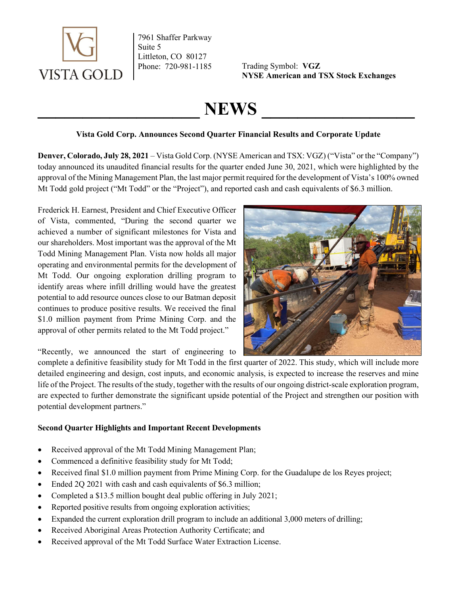

7961 Shaffer Parkway Suite 5 Littleton, CO 80127

Phone: 720-981-1185 Trading Symbol: VGZ NYSE American and TSX Stock Exchanges

# $NEWS$

#### Vista Gold Corp. Announces Second Quarter Financial Results and Corporate Update

Denver, Colorado, July 28, 2021 – Vista Gold Corp. (NYSE American and TSX: VGZ) ("Vista" or the "Company") today announced its unaudited financial results for the quarter ended June 30, 2021, which were highlighted by the approval of the Mining Management Plan, the last major permit required for the development of Vista's 100% owned Mt Todd gold project ("Mt Todd" or the "Project"), and reported cash and cash equivalents of \$6.3 million.

Frederick H. Earnest, President and Chief Executive Officer of Vista, commented, "During the second quarter we achieved a number of significant milestones for Vista and our shareholders. Most important was the approval of the Mt Todd Mining Management Plan. Vista now holds all major operating and environmental permits for the development of Mt Todd. Our ongoing exploration drilling program to identify areas where infill drilling would have the greatest potential to add resource ounces close to our Batman deposit continues to produce positive results. We received the final \$1.0 million payment from Prime Mining Corp. and the approval of other permits related to the Mt Todd project."



"Recently, we announced the start of engineering to

complete a definitive feasibility study for Mt Todd in the first quarter of 2022. This study, which will include more detailed engineering and design, cost inputs, and economic analysis, is expected to increase the reserves and mine life of the Project. The results of the study, together with the results of our ongoing district-scale exploration program, are expected to further demonstrate the significant upside potential of the Project and strengthen our position with potential development partners."

## Second Quarter Highlights and Important Recent Developments

- Received approval of the Mt Todd Mining Management Plan;
- Commenced a definitive feasibility study for Mt Todd;
- Received final \$1.0 million payment from Prime Mining Corp. for the Guadalupe de los Reyes project;
- Ended 2Q 2021 with cash and cash equivalents of \$6.3 million;
- Completed a \$13.5 million bought deal public offering in July 2021;
- Reported positive results from ongoing exploration activities;
- Expanded the current exploration drill program to include an additional 3,000 meters of drilling;
- Received Aboriginal Areas Protection Authority Certificate; and
- Received approval of the Mt Todd Surface Water Extraction License.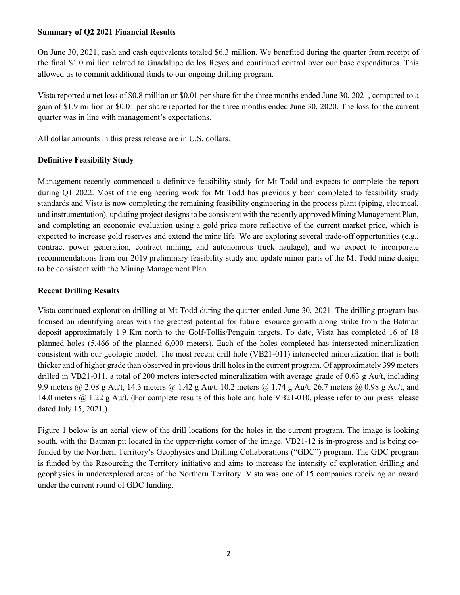#### Summary of Q2 2021 Financial Results

On June 30, 2021, cash and cash equivalents totaled \$6.3 million. We benefited during the quarter from receipt of the final \$1.0 million related to Guadalupe de los Reyes and continued control over our base expenditures. This allowed us to commit additional funds to our ongoing drilling program.

Vista reported a net loss of \$0.8 million or \$0.01 per share for the three months ended June 30, 2021, compared to a gain of \$1.9 million or \$0.01 per share reported for the three months ended June 30, 2020. The loss for the current quarter was in line with management's expectations.

All dollar amounts in this press release are in U.S. dollars.

## Definitive Feasibility Study

Management recently commenced a definitive feasibility study for Mt Todd and expects to complete the report during Q1 2022. Most of the engineering work for Mt Todd has previously been completed to feasibility study standards and Vista is now completing the remaining feasibility engineering in the process plant (piping, electrical, and instrumentation), updating project designs to be consistent with the recently approved Mining Management Plan, and completing an economic evaluation using a gold price more reflective of the current market price, which is expected to increase gold reserves and extend the mine life. We are exploring several trade-off opportunities (e.g., contract power generation, contract mining, and autonomous truck haulage), and we expect to incorporate recommendations from our 2019 preliminary feasibility study and update minor parts of the Mt Todd mine design to be consistent with the Mining Management Plan.

#### Recent Drilling Results

Vista continued exploration drilling at Mt Todd during the quarter ended June 30, 2021. The drilling program has focused on identifying areas with the greatest potential for future resource growth along strike from the Batman deposit approximately 1.9 Km north to the Golf-Tollis/Penguin targets. To date, Vista has completed 16 of 18 planned holes (5,466 of the planned 6,000 meters). Each of the holes completed has intersected mineralization consistent with our geologic model. The most recent drill hole (VB21-011) intersected mineralization that is both thicker and of higher grade than observed in previous drill holes in the current program. Of approximately 399 meters drilled in VB21-011, a total of 200 meters intersected mineralization with average grade of 0.63 g Au/t, including 9.9 meters @ 2.08 g Au/t, 14.3 meters @ 1.42 g Au/t, 10.2 meters @ 1.74 g Au/t, 26.7 meters @ 0.98 g Au/t, and 14.0 meters  $\omega$  1.22 g Au/t. (For complete results of this hole and hole VB21-010, please refer to our press release dated July 15, 2021.)

Figure 1 below is an aerial view of the drill locations for the holes in the current program. The image is looking south, with the Batman pit located in the upper-right corner of the image. VB21-12 is in-progress and is being cofunded by the Northern Territory's Geophysics and Drilling Collaborations ("GDC") program. The GDC program is funded by the Resourcing the Territory initiative and aims to increase the intensity of exploration drilling and geophysics in underexplored areas of the Northern Territory. Vista was one of 15 companies receiving an award under the current round of GDC funding.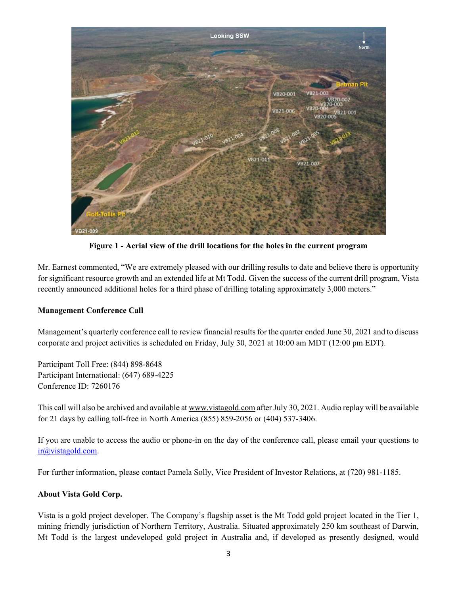

Figure 1 - Aerial view of the drill locations for the holes in the current program

Mr. Earnest commented, "We are extremely pleased with our drilling results to date and believe there is opportunity for significant resource growth and an extended life at Mt Todd. Given the success of the current drill program, Vista recently announced additional holes for a third phase of drilling totaling approximately 3,000 meters."

## Management Conference Call

Management's quarterly conference call to review financial results for the quarter ended June 30, 2021 and to discuss corporate and project activities is scheduled on Friday, July 30, 2021 at 10:00 am MDT (12:00 pm EDT).

Participant Toll Free: (844) 898-8648 Participant International: (647) 689-4225 Conference ID: 7260176

This call will also be archived and available at www.vistagold.com after July 30, 2021. Audio replay will be available for 21 days by calling toll-free in North America (855) 859-2056 or (404) 537-3406.

If you are unable to access the audio or phone-in on the day of the conference call, please email your questions to ir@vistagold.com.

For further information, please contact Pamela Solly, Vice President of Investor Relations, at (720) 981-1185.

#### About Vista Gold Corp.

Vista is a gold project developer. The Company's flagship asset is the Mt Todd gold project located in the Tier 1, mining friendly jurisdiction of Northern Territory, Australia. Situated approximately 250 km southeast of Darwin, Mt Todd is the largest undeveloped gold project in Australia and, if developed as presently designed, would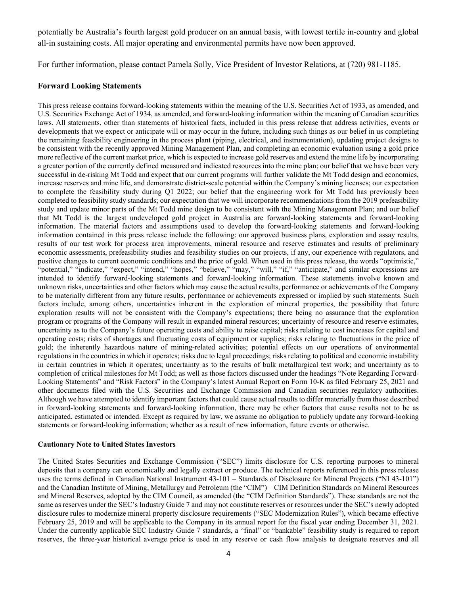potentially be Australia's fourth largest gold producer on an annual basis, with lowest tertile in-country and global all-in sustaining costs. All major operating and environmental permits have now been approved.

For further information, please contact Pamela Solly, Vice President of Investor Relations, at (720) 981-1185.

#### Forward Looking Statements

This press release contains forward-looking statements within the meaning of the U.S. Securities Act of 1933, as amended, and U.S. Securities Exchange Act of 1934, as amended, and forward-looking information within the meaning of Canadian securities laws. All statements, other than statements of historical facts, included in this press release that address activities, events or developments that we expect or anticipate will or may occur in the future, including such things as our belief in us completing the remaining feasibility engineering in the process plant (piping, electrical, and instrumentation), updating project designs to be consistent with the recently approved Mining Management Plan, and completing an economic evaluation using a gold price more reflective of the current market price, which is expected to increase gold reserves and extend the mine life by incorporating a greater portion of the currently defined measured and indicated resources into the mine plan; our belief that we have been very successful in de-risking Mt Todd and expect that our current programs will further validate the Mt Todd design and economics, increase reserves and mine life, and demonstrate district-scale potential within the Company's mining licenses; our expectation to complete the feasibility study during Q1 2022; our belief that the engineering work for Mt Todd has previously been completed to feasibility study standards; our expectation that we will incorporate recommendations from the 2019 prefeasibility study and update minor parts of the Mt Todd mine design to be consistent with the Mining Management Plan; and our belief that Mt Todd is the largest undeveloped gold project in Australia are forward-looking statements and forward-looking information. The material factors and assumptions used to develop the forward-looking statements and forward-looking information contained in this press release include the following: our approved business plans, exploration and assay results, results of our test work for process area improvements, mineral resource and reserve estimates and results of preliminary economic assessments, prefeasibility studies and feasibility studies on our projects, if any, our experience with regulators, and positive changes to current economic conditions and the price of gold. When used in this press release, the words "optimistic," "potential," "indicate," "expect," "intend," "hopes," "believe," "may," "will," "if," "anticipate," and similar expressions are intended to identify forward-looking statements and forward-looking information. These statements involve known and unknown risks, uncertainties and other factors which may cause the actual results, performance or achievements of the Company to be materially different from any future results, performance or achievements expressed or implied by such statements. Such factors include, among others, uncertainties inherent in the exploration of mineral properties, the possibility that future exploration results will not be consistent with the Company's expectations; there being no assurance that the exploration program or programs of the Company will result in expanded mineral resources; uncertainty of resource and reserve estimates, uncertainty as to the Company's future operating costs and ability to raise capital; risks relating to cost increases for capital and operating costs; risks of shortages and fluctuating costs of equipment or supplies; risks relating to fluctuations in the price of gold; the inherently hazardous nature of mining-related activities; potential effects on our operations of environmental regulations in the countries in which it operates; risks due to legal proceedings; risks relating to political and economic instability in certain countries in which it operates; uncertainty as to the results of bulk metallurgical test work; and uncertainty as to completion of critical milestones for Mt Todd; as well as those factors discussed under the headings "Note Regarding Forward-Looking Statements" and "Risk Factors" in the Company's latest Annual Report on Form 10-K as filed February 25, 2021 and other documents filed with the U.S. Securities and Exchange Commission and Canadian securities regulatory authorities. Although we have attempted to identify important factors that could cause actual results to differ materially from those described in forward-looking statements and forward-looking information, there may be other factors that cause results not to be as anticipated, estimated or intended. Except as required by law, we assume no obligation to publicly update any forward-looking statements or forward-looking information; whether as a result of new information, future events or otherwise.

#### Cautionary Note to United States Investors

The United States Securities and Exchange Commission ("SEC") limits disclosure for U.S. reporting purposes to mineral deposits that a company can economically and legally extract or produce. The technical reports referenced in this press release uses the terms defined in Canadian National Instrument 43-101 – Standards of Disclosure for Mineral Projects ("NI 43-101") and the Canadian Institute of Mining, Metallurgy and Petroleum (the "CIM") – CIM Definition Standards on Mineral Resources and Mineral Reserves, adopted by the CIM Council, as amended (the "CIM Definition Standards"). These standards are not the same as reserves under the SEC's Industry Guide 7 and may not constitute reserves or resources under the SEC's newly adopted disclosure rules to modernize mineral property disclosure requirements ("SEC Modernization Rules"), which became effective February 25, 2019 and will be applicable to the Company in its annual report for the fiscal year ending December 31, 2021. Under the currently applicable SEC Industry Guide 7 standards, a "final" or "bankable" feasibility study is required to report reserves, the three-year historical average price is used in any reserve or cash flow analysis to designate reserves and all